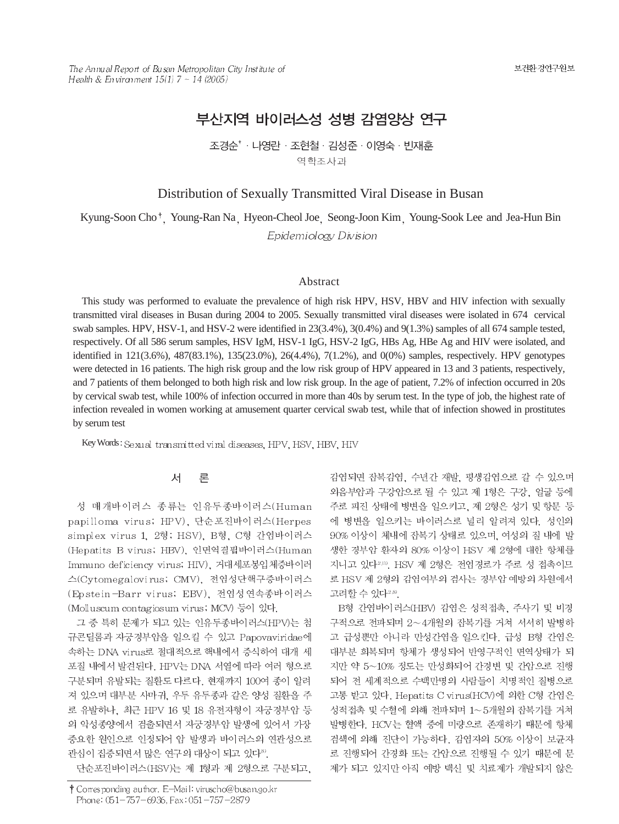The Annual Report of Busan Metropolitan City Institute of Health & Environment  $15(1)$  7 ~ 14 (2005)

# 부산지역 바이러스성 성병 감염양상 연구

조경순<sup>\*</sup> · 나영란 · 조현철 · 김성준 · 이영숙 · 빈재훈 역학조사과

# Distribution of Sexually Transmitted Viral Disease in Busan

Kyung-Soon Cho<sup>†</sup> Young-Ran Na Hyeon-Cheol Joe Seong-Joon Kim Young-Sook Lee and Jea-Hun Bin Epidemiology Division

#### Abstract

This study was performed to evaluate the prevalence of high risk HPV, HSV, HBV and HIV infection with sexually transmitted viral diseases in Busan during 2004 to 2005. Sexually transmitted viral diseases were isolated in 674 cervical swab samples. HPV, HSV-1, and HSV-2 were identified in 23(3.4%), 3(0.4%) and 9(1.3%) samples of all 674 sample tested, respectively. Of all 586 serum samples, HSV IgM, HSV-1 IgG, HSV-2 IgG, HBs Ag, HBe Ag and HIV were isolated, and identified in 121(3.6%), 487(83.1%), 135(23.0%), 26(4.4%), 7(1.2%), and 0(0%) samples, respectively. HPV genotypes were detected in 16 patients. The high risk group and the low risk group of HPV appeared in 13 and 3 patients, respectively, and 7 patients of them belonged to both high risk and low risk group. In the age of patient, 7.2% of infection occurred in 20s by cervical swab test, while 100% of infection occurred in more than 40s by serum test. In the type of job, the highest rate of infection revealed in women working at amusement quarter cervical swab test, while that of infection showed in prostitutes by serum test

Key Words: Sexual transmitted viral diseases, HPV, HSV, HBV, HIV

#### 서 론

성 매개바이러스 종류는 인유두종바이러스(Human papilloma virus; HPV), 단순포진바이러스(Herpes simplex virus 1, 2형; HSV), B형, C형 간염바이러스 (Hepatits B virus; HBV), 인면역결핍바이러스(Human Immuno deficiency virus; HIV). 거대세포봉입체증바이러 스(Cytomegalovirus; CMV), 전염성단핵구증바이러스 (Epstein-Barr virus; EBV), 전염성연속종바이러스 (Molluscum contagiosum virus; MCV) 등이 있다.

그 중 특히 문제가 되고 있는 인유두종바이러스(HPV)는 첨 규콘딜롬과 자궁경부암을 일으킬 수 있고 Papovaviridae에 속하는 DNA virus로 절대적으로 핵내에서 증식하여 대개 세 포질 내에서 발견된다. HPV는 DNA 서열에 따라 여러 형으로 구분되며 유발되는 질환도 다르다. 현재까지 100여 종이 알려 져 있으며 대부분 사마귀, 우두 유두종과 같은 양성 질환을 주 로 유발하나, 최근 HPV 16 및 18 유전자형이 자궁경부암 등 의 악성종양에서 검출되면서 자궁경부암 발생에 있어서 가장 중요한 원인으로 인정되어 암 발생과 바이러스의 연관성으로 관심이 집중되면서 많은 연구의 대상이 되고 있다<sup>8)</sup>.

단순포진바이러스(HSV)는 제 1형과 제 2형으로 구분되고,

감염되면 잠복감염, 수년간 재발, 평생감염으로 갈 수 있으며 외음부암과 구강암으로 될 수 있고 제 1형은 구강, 얼굴 등에 주로 피진 상태에 병변을 일으키고, 제 2형은 성기 및 항문 등 에 병변을 일으키는 바이러스로 널리 알려져 있다. 성인의 90% 이상이 체내에 잠복기 상태로 있으며, 여성의 질 내에 발 생한 경부암 환자의 80% 이상이 HSV 제 2형에 대한 항체를 지니고 있다<sup>2,11</sup>, HSV 제 2형은 전염경로가 주로 성 접촉이므 로 HSV 제 2형의 감염여부의 검사는 경부암 예방의 차원에서 고려할 수 있다<sup>2,8)</sup>.

B형 간염바이러스(HBV) 감염은 성적접촉, 주사기 및 비경 구적으로 전파되며 2~4개월의 잔복기를 거쳐 서서히 발병하 고 급성뿐만 아니라 만성간염을 일으킨다. 급성 B형 간염은 대부분 회복되며 항체가 생성되어 반영구적인 면역상태가 되 지만 약 5~10% 정도는 만성화되어 간경변 및 간암으로 진행 되어 전 세계적으로 수백만명의 사람들이 치명적인 질병으로 고통 받고 있다. Hepatits C virus(HCV)에 의한 C형 간염은 성적접촉 및 수혈에 의해 전파되며 1~5개월의 잡복기를 거쳐 발병한다. HCV는 혈액 중에 미량으로 존재하기 때문에 항체 검색에 의해 진단이 가능하다. 감염자의 50% 이상이 보균자 로 진행되어 간경화 또는 간암으로 진행될 수 있기 때문에 문 제가 되고 있지만 아직 예방 백신 및 치료제가 개발되지 않은

<sup>†</sup> Corresponding author. E-Mail: viruscho@busan.go.kr Phone: 051-757-6936, Fax: 051-757-2879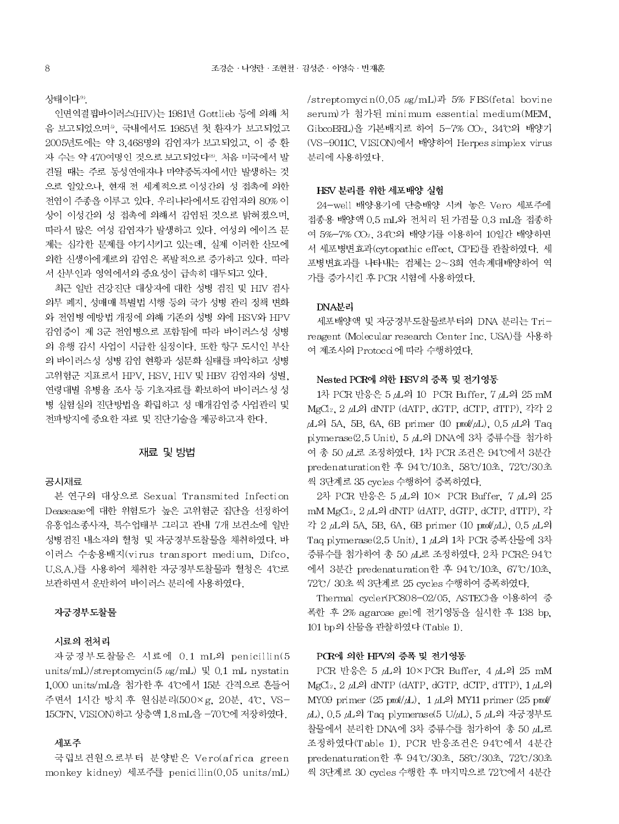상태이다<sup>99</sup>.

인면역결핍바이러스(HIV)는 1981년 Gottlieb 등에 의해 처 음 보고되었으며<sup>5</sup>. 국내에서도 1985년 첫 환자가 보고되었고 2005년도에는 약 3.468명의 감염자가 보고되었고, 이 중 환 자 수는 약 470여명인 것으로 보고되었다<sup>89</sup>. 처음 미국에서 발 견될 때는 주로 동성연애자나 마약중독자에서만 발생하는 것 으로 알았으나, 현재 전 세계적으로 이성간의 성 접촉에 의한 전염이 주종을 이루고 있다. 우리나라에서도 감염자의 80% 이 상이 이성간의 성 접촉에 의해서 감염된 것으로 밝혀졌으며, 따라서 많은 여성 감염자가 발생하고 있다. 여성의 에이즈 문 제는 심각한 문제를 야기시키고 있는데, 실제 이러한 산모에 의한 신생아에게로의 감염은 폭발적으로 증가하고 있다. 따라 서 산부인과 영역에서의 중요성이 급속히 대두되고 있다.

최근 일반 건강진단 대상자에 대한 성병 검진 및 HIV 검사 의무 폐지, 성매매 특별법 시행 등의 국가 성병 관리 정책 변화 와 전염병 예방법 개정에 의해 기존의 성병 외에 HSV와 HPV 감염증이 제 3군 전염병으로 포함됨에 따라 바이러스성 성병 의 유행 감시 사업이 시급한 실정이다. 또한 항구 도시인 부산 의 바이러스성 성병 감염 현황과 성문화 실태를 파악하고 성병 고위험군 지표로서 HPV, HSV, HIV 및 HBV 감염자의 성별, 연령대별 유병율 조사 등 기초자료를 확보하여 바이러스성 성 병 실험실의 진단방법을 확립하고 성 매개감염증 사업관리 및 전파방지에 중요한 자료 및 진단기술을 제공하고자 한다.

# 재료 및 방법

# 공시재료

본 연구의 대상으로 Sexual Transmited Infection Deasease에 대한 위험도가 높은 고위험군 집단을 선정하여 유흥업소종사자, 특수업태부 그리고 관내 7개 보건소에 일반 성병검진 내소자의 혈청 및 자궁경부도찰물을 채취하였다. 바 이러스 수송용배지(virus transport medium, Difco, U.S.A.)를 사용하여 채취한 자궁경부도찰물과 혈청은 4℃로 보관하면서 운반하여 바이러스 분리에 사용하였다.

#### 자궁경부도찰물

# 시료의 전처리

자궁경부도찰물은 시료에 0.1 mL의 penicillin(5 units/mL)/streptomycin(5  $\mu$ g/mL) 및 0.1 mL nystatin 1,000 units/mL을 첨가한 후 4℃에서 15분 간격으로 흔들어 주면서 1시간 방치 후 원심분리(500×g, 20분, 4℃, VS-15CFN, VISION) 하고 상층액 1.8 mL을 -70℃에 저장하였다.

# 세포주

국립보건원으로부터 분양받은 Vero(africa green monkey kidney) 세포주를 penicillin(0.05 units/mL) /streptomycin(0.05  $\mu$ g/mL)과 5% FBS(fetal bovine serum)가 첨가된 minimum essential medium(MEM, GibcoBRL)을 기본배지로 하여 5-7% CO2, 34°C의 배양기 (VS-9011C, VISION)에서 배양하여 Herpes simplex virus 분리에 사용하였다.

# HSV 분리를 위한 세포배양 실험

24-well 배양용기에 단층배양 시켜 놓은 Vero 세포주에 접종용 배양액 0.5 mL와 전처리 된 가검물 0.3 mL을 접종하 여 5%-7% CO2, 34°C의 배양기를 이용하여 10일간 배양하면 서 세포병변효과(cytopathic effect, CPE)를 관찰하였다. 세 포병변효과를 나타내는 검체는 2~3회 연속계대배양하여 역 가를 증가시킨 후 PCR 시험에 사용하였다.

## DNA분리

세포배양액 및 자궁경부도찰물로부터의 DNA 분리는 Trireagent (Molecular research Center Inc. USA)를 사용하 여 제조사의 Protocol에 따라 수행하였다.

## Nested PCR에 의한 HSV의 증폭 및 전기영동

1차 PCR 반응은 5 *µ*L의 10 PCR Buffer, 7 µL의 25 mM MgCl<sub>2</sub>, 2 µL<sup>2</sup> dNTP (dATP, dGTP, dCTP, dTTP), 각각 2  $\mu$ L<sup>2</sup> 5A, 5B, 6A, 6B primer (10 pm)/ $\mu$ L), 0.5  $\mu$ L<sup>2</sup> Taq plymerase(2.5 Unit), 5 *A*L의 DNA에 3차 증류수를 첨가하 여 총 50 zL로 조정하였다. 1차 PCR 조건은 94℃에서 3분간 predenaturation한 후 94°C/10초, 58°C/10초, 72°C/30초 씩 3단계로 35 cycles 수행하여 증폭하였다.

2차 PCR 반응은 5 д 의 10× PCR Buffer, 7 д 의 25 mM MgCl<sub>2</sub>, 2 µL의 dNTP (dATP, dGTP, dCTP, dTTP), 각 각 2 µL의 5A, 5B, 6A, 6B primer (10 pmol/µL), 0.5 µL의 Taq plymerase(2.5 Unit), 1 μL의 1차 PCR 증폭산물에 3차 증류수를 첨가하여 총 50 µL로 조정하였다. 2차 PCR은 94℃ 에서 3분간 predenaturation한 후 94°C/10초, 67°C/10초, 72℃/ 30초 씩 3단계로 25 cycles 수행하여 증폭하였다.

Thermal cycler(PC808-02/05, ASTEC)을 이용하여 증 폭한 후 2% agarose gel에 전기영동을 실시한 후 138 bp. 101 bp의 산물을 관찰하였다 (Table 1).

### PCR에 의한 HPV의 증폭 및 전기영동

PCR 반응은 5 µL의 10×PCR Buffer, 4 µL의 25 mM MgCl<sub>2</sub>, 2 *µ*L의 dNTP (dATP, dGTP, dCIP, dTTP), 1 µL의 MY09 primer  $(25 \text{ pmol}/\mu\text{L})$ , 1  $\mu\text{L}$ <sup>2</sup> MY11 primer  $(25 \text{ pmol}/\mu\text{L})$ μL), 0.5 μL의 Taq plymerase(5 U/μL), 5 μL의 자궁경부도 찰물에서 분리한 DNA에 3차 증류수를 첨가하여 총 50 µL로 조정하였다(Table 1). PCR 반응조건은 94℃에서 4분간 predenaturation한 후 94°C/30초, 58℃/30초, 72℃/30초 씩 3단계로 30 cycles 수행한 후 마지막으로 72°C에서 4분간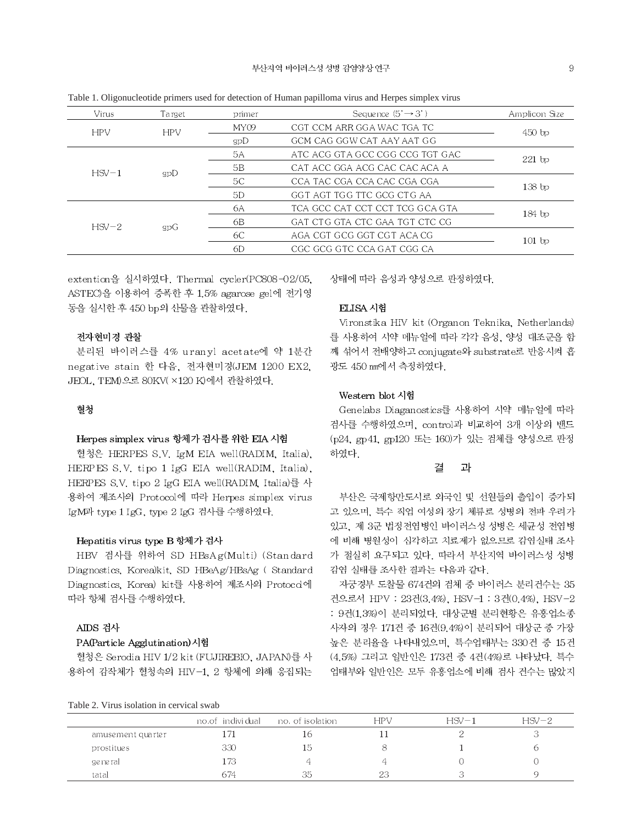| $\tilde{}$ | $\mathbf{r}$ |        |                                 |               |  |
|------------|--------------|--------|---------------------------------|---------------|--|
| Virus      | Target       | primer | Sequence $(5' \rightarrow 3')$  | Amplicon Size |  |
| <b>HPV</b> | <b>HPV</b>   | MY09   | CGT CCM ARR GGA WAC TGA TC      | $450$ bp      |  |
|            |              | gpD    | GCM CAG GGW CAT AAY AAT GG      |               |  |
| $HSV-1$    |              | 5A     | ATC ACG GTA GCC CGG CCG TGT GAC | $221$ bp      |  |
|            | gpD          | 5B     | CAT ACC GGA ACG CAC CAC ACA A   |               |  |
|            |              | 5C     | CCA TAC CGA CCA CAC CGA CGA     | $138$ bp      |  |
|            |              | 5D     | GGT AGT TGG TTC GCG CTG AA      |               |  |
| $HSV-2$    |              | 6A     | TCA GCC CAT CCT CCT TCG GCA GTA | $184$ bp      |  |
|            | gpG          | 6B     | GAT CTG GTA CTC GAA TGT CTC CG  |               |  |
|            |              | 6C     | AGA CGT GCG GGT CGT ACA CG      | $101$ bp      |  |
|            |              | 6D     | CGC GCG GTC CCA GAT CGG CA      |               |  |
|            |              |        |                                 |               |  |

Table 1. Oligonucleotide primers used for detection of Human papilloma virus and Hernes simplex virus

extention을 실시하였다. Thermal cycler(PC808-02/05, ASTEO을 이용하여 증폭한 후 1.5% agarose gel에 전기영 동을 실시한 후 450 bp의 산물을 관찰하였다.

# 전자현미경 관찰

분리된 바이러스를 4% uranyl acetate에 약 1분간 negative stain 한 다음, 전자현미경(JEM 1200 EX2, JEOL, TEM)으로 80KV(×120 K)에서 관찰하였다.

# 형첫

## Herpes simplex virus 항체가 검사를 위한 EIA 시험

혈청은 HERPES S.V. IgM EIA well(RADIM, Italia), HERPES S.V. tipo 1 IgG EIA well(RADIM, Italia), HERPES S.V. tipo 2 IgG EIA well(RADIM, Italia)를 사 용하여 제조사의 Protocol에 따라 Herpes simplex virus IgM과 type 1 IgG, type 2 IgG 검사를 수행하였다.

# Hepatitis virus type B 항체가 검사

HBV 검사를 위하여 SD HBsAg(Multi) (Standard Diagnostics, Korea)kit, SD HBeAg/HBsAg (Standard Diagnostics, Korea) kit를 사용하여 제조사의 Protoco에 따라 항체 검사를 수행하였다.

# AIDS 검사

# PA(Particle Agglutination)시험

혈청은 Serodia HIV 1/2 kit (FUJIREBIO, JAPAN)를 사 용하여 감작체가 혈청속의 HIV-1, 2 항체에 의해 응집되는 상태에 따라 음성과 양성으로 판정하였다.

#### ELISA 시험

Vironstika HIV kit (Organon Teknika, Netherlands) 를 사용하여 시약 메뉴얼에 따라 각각 음성, 양성 대조군을 함 께 섞어서 전배양하고 conjugate와 substrate로 반응시켜 흡 광도 450 nm에서 측정하였다.

# Western blot 시험

Genelabs Diaganostics를 사용하여 시약 메뉴얼에 따라 검사를 수행하였으며, control과 비교하여 3개 이상의 밴드 (p24, gp41, gp120 또는 160)가 있는 검체를 양성으로 판정 하였다.

#### 과 곃

부산은 국제항만도시로 외국인 및 선원들의 출입이 증가되 고 있으며, 특수 직업 여성의 장기 체류로 성병의 전파 우려가 있고, 제 3군 법정전염병인 바이러스성 성병은 세균성 전염병 에 비해 병원성이 심각하고 치료제가 없으므로 감염실태 조사 가 절실히 요구되고 있다. 따라서 부산지역 바이러스성 성병 감염 실태를 조사한 결과는 다음과 같다.

자궁경부 도찰물 674건의 검체 중 바이러스 분리건수는 35 건으로서 HPV : 23건(3.4%). HSV-1 : 3건(0.4%). HSV-2 : 9건(1.3%)이 분리되었다. 대상군별 분리현황은 유흥업소종 사자의 경우 171건 중 16건(9.4%)이 분리되어 대상군 중 가장 높은 분리율을 나타내었으며, 특수업태부는 330건 중 15건 (4.5%) 그리고 일반인은 173건 중 4건(4%)로 나타났다. 특수 업태부와 일반인은 모두 유흥업소에 비해 검사 건수는 많았지

|                   | no.of individual | no, of isolation | <b>HPV</b> | $HSV-1$ | $HSV-2$ |
|-------------------|------------------|------------------|------------|---------|---------|
| amusement quarter | ! / 1            | 16               |            |         |         |
| prostitues        | 330              | 15               |            |         |         |
| general           | 173.             |                  |            |         |         |
| tatal             | 674              | 35               | 23         |         |         |

Table 2. Virus isolation in cervical swab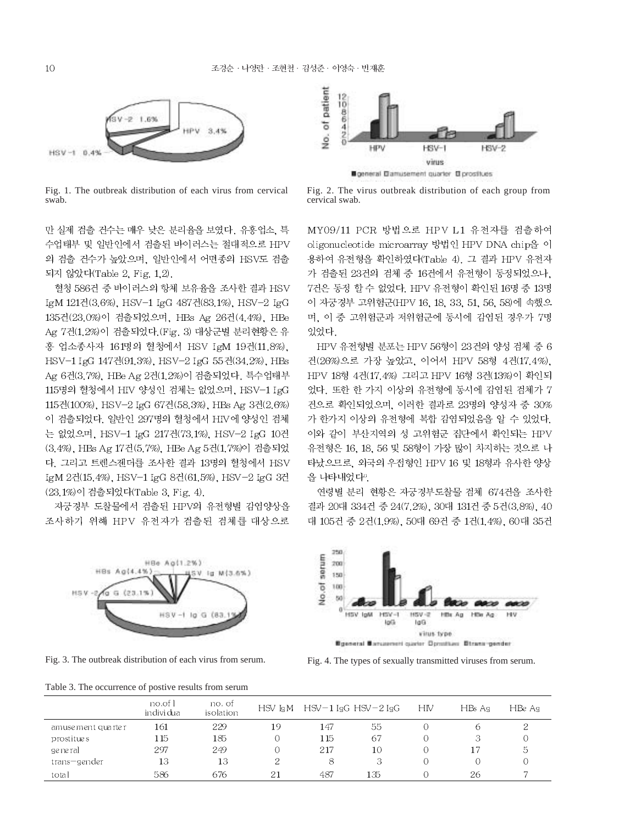

Fig. 1. The outbreak distribution of each virus from cervical swab.

만 실제 검출 건수는 매우 낮은 분리율을 보였다. 유흥업소, 특 수업태부 및 일반인에서 검출된 바이러스는 절대적으로 HPV 의 검출 건수가 높았으며, 일반인에서 어떤종의 HSV도 검출 되지 않았다(Table 2, Fig. 1,2).

혈청 586건 중 바이러스의 항체 보유율을 조사한 결과 HSV IgM 121건(3.6%), HSV-1 IgG 487건(83.1%), HSV-2 IgG 135건(23.0%)이 검출되었으며, HBs Ag 26건(4.4%), HBe Ag 7건(1.2%)이 검출되었다. (Fig. 3) 대상군별 분리현황은 유 흥 업소종사자 161명의 혈청에서 HSV IgM 19건(11.8%). HSV-1 IgG 147건(91.3%), HSV-2 IgG 55건(34.2%), HBs Ag 6건(3.7%), HBe Ag 2건(1.2%)이 검출되었다. 특수업태부 115명의 혈청에서 HIV 양성인 검체는 없었으며, HSV-1 IgG 115건(100%), HSV-2 IgG 67건(58.3%), HBs Ag 3건(2.6%) 이 검출되었다. 일반인 297명의 혈청에서 HIV에 양성인 검체 는 없었으며, HSV-1 IgG 217건(73.1%), HSV-2 IgG 10건 (3.4%), HBs Ag 17건(5.7%), HBe Ag 5건(1.7%)이 검출되었 다. 그리고 트렌스젠더를 조사한 결과 13명의 혈청에서 HSV IgM 2건(15.4%), HSV-1 IgG 8건(61.5%), HSV-2 IgG 3건 (23.1%)이 검출되었다(Table 3, Fig. 4).

자궁경부 도찰물에서 검출된 HPV의 유전형별 감염양상을 조사하기 위해 HPV 유전자가 검출된 검체를 대상으로



Fig. 3. The outbreak distribution of each virus from serum.

Table 3. The occurrence of postive results from serum



general Damusement quarter D prostitues

Fig. 2. The virus outbreak distribution of each group from cervical swab.

MY09/11 PCR 방법으로 HPV L1 유전자를 검출하여 oligonucleotide microarray 방법인 HPV DNA chip을 이 용하여 유전형을 확인하였다(Table 4). 그 결과 HPV 유전자 가 검출된 23건의 검체 중 16건에서 유전형이 동정되었으나, 7건은 동정 할 수 없었다. HPV 유전형이 확인된 16명 중 13명 이 자궁경부 고위험군(HPV 16, 18, 33, 51, 56, 58)에 속했으 며, 이 중 고위험군과 저위험군에 동시에 감염된 경우가 7명 있었다.

HPV 유전형별 분포는 HPV 56형이 23건의 양성 검체 중 6 건(26%)으로 가장 높았고, 이어서 HPV 58형 4건(17.4%), HPV 18형 4건(17.4%) 그리고 HPV 16형 3건(13%)이 확인되 었다. 또한 한 가지 이상의 유전형에 동시에 감염된 검체가 7 건으로 확인되었으며, 이러한 결과로 23명의 양성자 중 30% 가 한가지 이상의 유전형에 복합 감염되었음을 알 수 있었다. 이와 같이 부산지역의 성 고위험군 집단에서 확인되는 HPV 유전형은 16, 18, 56 및 58형이 가장 많이 차지하는 것으로 나 타났으므로, 외국의 우점형인 HPV 16 및 18형과 유사한 양상 을 나타내었다".

연령별 분리 현황은 자궁경부도찰물 검체 674건을 조사한 결과 20대 334건 중 24(7.2%), 30대 131건 중 5건(3.8%), 40 대 105건 중 2건(1.9%), 50대 69건 중 1건(1.4%), 60대 35건



Fig. 4. The types of sexually transmitted viruses from serum.

|                   | no.of l<br>indivi dua | no. of<br>isolation |    |     | $HSV$ IgM $HSV-1$ IgG $HSV-2$ IgG | HIV | $HBs$ Ag | HBe Ag |
|-------------------|-----------------------|---------------------|----|-----|-----------------------------------|-----|----------|--------|
| amusement quarter | 161                   | 229                 | 19 | 147 | 55                                |     | €        |        |
| prostitues        | 115                   | 185                 | Ō  | 115 | 67                                |     | З        |        |
| general.          | 297                   | 249                 | 0  | 217 | 10                                | O   | 17       | ನಿ     |
| trans—gender      | 13                    | 13                  |    | 8   |                                   |     |          |        |
| total             | 586                   | 676                 | 21 | 487 | 135                               |     | 26       |        |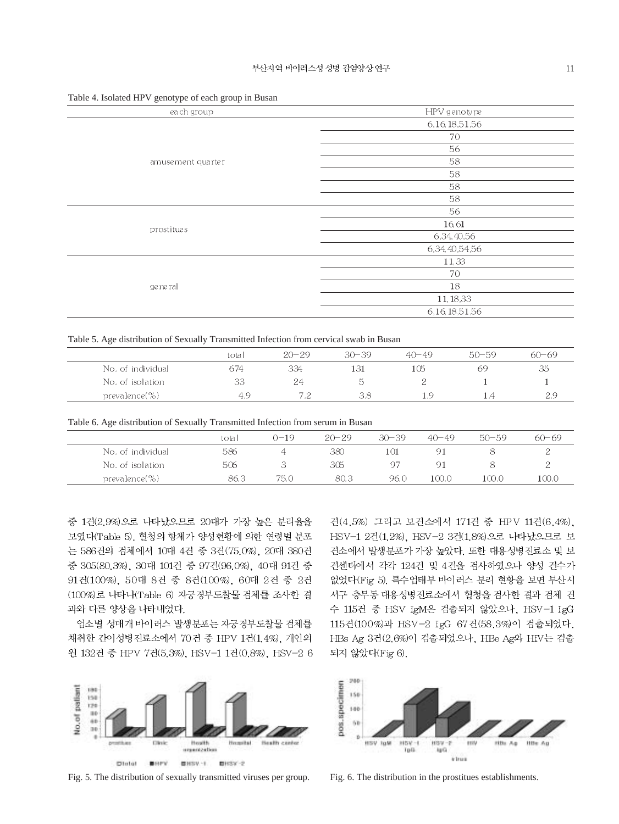| ັ<br>$\sim$ $\sim$<br><u>.</u> |                   |
|--------------------------------|-------------------|
| each group                     | HPV genotype      |
|                                | 6, 16, 18, 51, 56 |
|                                | 70                |
|                                | 56                |
| amuse ment quarter             | 58                |
|                                | 58                |
|                                | 58                |
|                                | 58                |
|                                | 56                |
| prostitues                     | 16,61             |
|                                | 6,34,40,56        |
|                                | 6,34,40,54,56     |
|                                | 11,33             |
|                                | 70                |
| ge ne ral                      | 18                |
|                                | 11, 18, 33        |
|                                | 6, 16, 18, 51, 56 |
|                                |                   |

Table 4. Isolated HPV genotype of each group in Busan

Table 5. Age distribution of Sexually Transmitted Infection from cervical swab in Busan

|                   | total | $20 - 29$ | $30 - 39$ | $40 - 49$ | $50 - 59$ | $60 - 69$ |
|-------------------|-------|-----------|-----------|-----------|-----------|-----------|
| No. of individual | 674   | 334       | 131       | 105       | 69        | 35        |
| No. of isolation  | 33    | 24        |           |           |           |           |
| prevalence $(\%)$ | - 9   |           |           | - 93      |           | つち        |

Table 6. Age distribution of Sexually Transmitted Infection from serum in Busan

|                   | total | $0 - 19$ | $20 - 29$ | $30 - 39$ | $40 - 49$ | $50 - 59$ | $60 - 69$ |
|-------------------|-------|----------|-----------|-----------|-----------|-----------|-----------|
| No. of individual | 586   |          | 380       | 101       |           |           |           |
| No. of isolation  | 506   |          | 305       | 97        |           |           |           |
| $prevalence (\%)$ | 86.3  | 75.0     | 80.3      | 96.0      | 100.0     | 100.0     | 100.0     |

중 1건(2.9%)으로 나타났으므로 20대가 가장 높은 분리율을 보였다(Table 5). 혈청의 항체가 양성현황에 의한 연령별 분포 는 586건의 검체에서 10대 4건 중 3건(75.0%), 20대 380건 중 305(80.3%), 30대 101건 중 97건(96.0%), 40대 91건 중 91건(100%), 50대 8건 중 8건(100%), 60대 2건 중 2건 (100%)로 나타나(Table 6) 자궁경부도찰물 검체를 조사한 결 과와 다른 양상을 나타내었다.

업소별 성매개 바이러스 발생분포는 자궁경부도찰물 검체를 채취한 간이성병진료소에서 70건 중 HPV 1건(1.4%), 개인의 원 132건 중 HPV 7건(5.3%), HSV-1 1건(0.8%), HSV-2 6



Fig. 5. The distribution of sexually transmitted viruses per group. Fig. 6. The distribution in the prostitues establishments.

건(4.5%) 그리고 보건소에서 171건 중 HPV 11건(6.4%). HSV-1 2건(1.2%), HSV-2 3건(1.8%)으로 나타났으므로 보 건소에서 발생분포가 가장 높았다. 또한 대용성병진료소 및 보 건센터에서 각각 124건 및 4건을 검사하였으나 양성 건수가 없었다(Fig 5). 특수업태부 바이러스 분리 현황을 보면 부산시 서구 충무동 대용성병진료소에서 혈청을 검사한 결과 검체 건 수 115건 중 HSV IgM은 검출되지 않았으나, HSV-1 IgG 115건(100%)과 HSV-2 IgG 67건(58.3%)이 검출되었다. HBs Ag 3건(2.6%)이 검출되었으나, HBe Ag와 HIV는 검출 되지 않았다(Fig 6).

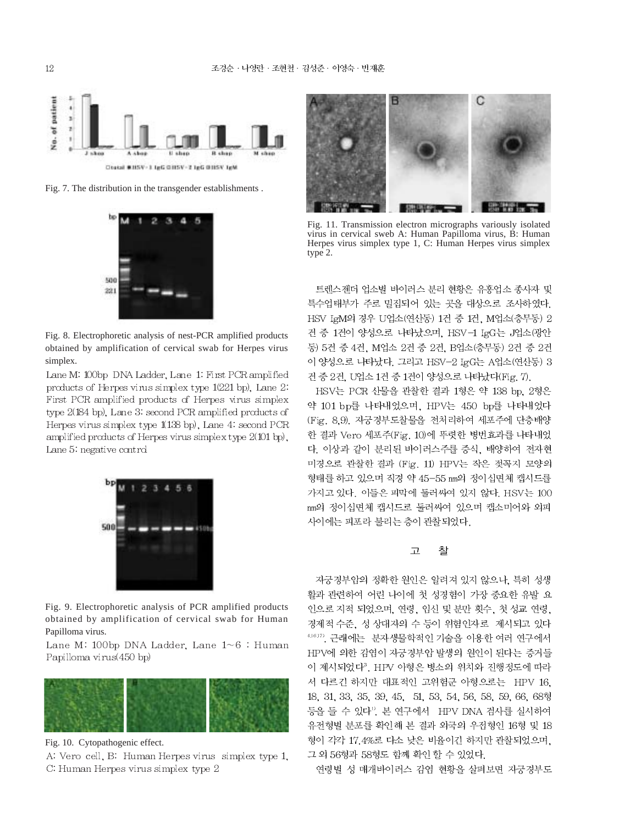

Fig. 7. The distribution in the transgender establishments .



Fig. 8. Electrophoretic analysis of nest-PCR amplified products obtained by amplification of cervical swab for Herpes virus simplex.

Lane M: 100bp DNA Ladder, Lane 1: First PCR amplified products of Herpes virus simplex type  $1(221$  bp). Lane 2. First PCR amplified products of Herpes virus simplex type 2(184 bp), Lane 3: second PCR amplified products of Herpes virus simplex type 1(138 bp), Lane 4: second PCR amplified products of Herpes virus simplex type 2(101 bp), Lane 5: negative control



Fig. 9. Electrophoretic analysis of PCR amplified products obtained by amplification of cervical swab for Human Papilloma virus.

Lane M: 100bp DNA Ladder, Lane  $1 \sim 6$ : Human Papilloma virus(450 bp)



Fig. 10. Cytopathogenic effect.

A: Vero cell, B: Human Herpes virus simplex type 1, C: Human Herpes virus simplex type 2



Fig. 11. Transmission electron micrographs variously isolated virus in cervical sweb A: Human Papilloma virus, B: Human Herpes virus simplex type 1, C: Human Herpes virus simplex type 2.

트렌스젠더 업소별 바이러스 분리 현황은 유흥업소 종사자 및 특수업태부가 주로 밀집되어 있는 곳을 대상으로 조사하였다. HSV IgM의 경우 U업소(연산동) 1건 중 1건, M업소(충무동) 2 건 중 1건이 양성으로 나타났으며, HSV-1 IgG는 J업소(광안 동) 5건 중 4건, M업소 2건 중 2건, B업소(충무동) 2건 중 2건 이 양성으로 나타났다. 그리고 HSV-2 IgG는 A업소(연산동) 3 건 중 2건, U업소 1건 중 1건이 양성으로 나타났다(Fig. 7).

HSV는 PCR 산물을 관찰한 결과 1형은 약 138 bp, 2형은 약 101 bp를 나타내었으며, HPV는 450 bp를 나타내었다 (Fig. 8.9). 자궁경부도찰물을 전처리하여 세포주에 단층배양 한 결과 Vero 세포주(Fig. 10)에 뚜렷한 병번효과를 나타내었 다. 이상과 같이 분리된 바이러스주를 증식, 배양하여 전자현 미경으로 관찰한 결과 (Fig. 11) HPV는 작은 젖꼭지 모양의 형태를 하고 있으며 직경 약 45-55 mm의 정이십면체 캡시드를 가지고 있다. 이들은 피막에 둘러싸여 있지 않다. HSV는 100 nm의 정이십면체 캡시드로 둘러싸여 있으며 캡소미어와 외피 사이에는 피포라 불리는 층이 관찰되었다.

#### 찰  $\mathbf{\underline{\mathcal{D}}}$

자궁경부암의 정확한 원인은 알려져 있지 않으나, 특히 성생 활과 관련하여 어린 나이에 첫 성경험이 가장 중요한 유발 요 인으로 지적 되었으며, 연령, 임신 및 분만 횟수, 첫 성교 연령, 경제적 수준, 성 상대자의 수 등이 위험인자로 제시되고 있다 4.6.17, 근래에는 분자생물학적인 기술을 이용한 여러 연구에서 HPV에 의한 감염이 자궁경부암 발생의 원인이 된다는 증거들 이 제시되었다". HPV 아형은 병소의 위치와 진행정도에 따라 서 다르긴 하지만 대표적인 고위험군 아형으로는 HPV 16. 18, 31, 33, 35, 39, 45, 51, 53, 54, 56, 58, 59, 66, 68형 등을 들 수 있다". 본 연구에서 HPV DNA 검사를 실시하여 유전형별 분포를 확인해 본 결과 외국의 우점형인 16형 및 18 형이 각각 17.4%로 다소 낮은 비율이긴 하지만 관찰되었으며, 그 외 56형과 58형도 함께 확인 할 수 있었다.

연령별 성 매개바이러스 감염 현황을 살펴보면 자궁경부도

12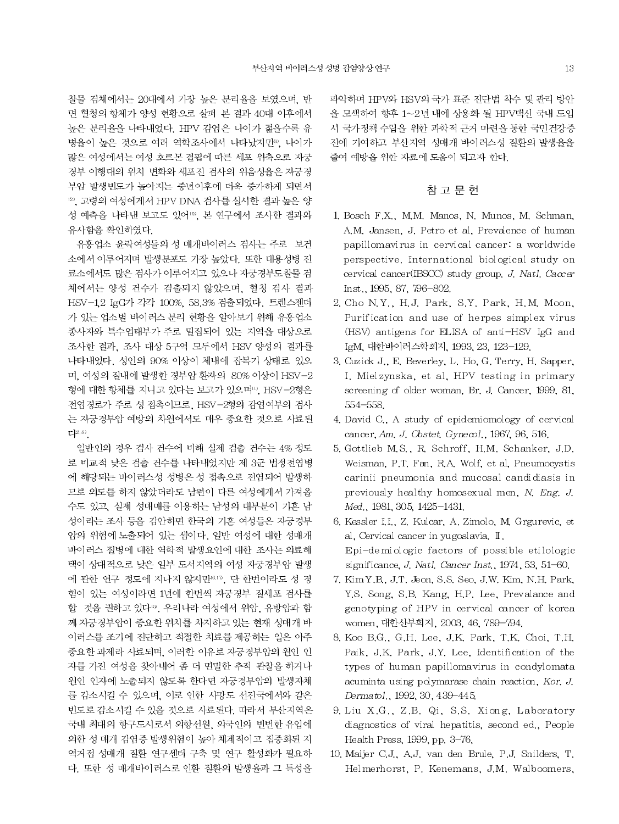찰물 검체에서는 20대에서 가장 높은 분리율을 보였으며, 반 면 혈청의 항체가 양성 현황으로 살펴 본 결과 40대 이후에서 높은 분리율을 나타내었다. HPV 감염은 나이가 젊을수록 유 병율이 높은 것으로 여러 역학조사에서 나타났지만 ". 나이가 많은 여성에서는 여성 호르몬 결핍에 따른 세포 위축으로 자궁 경부 이행대의 위치 변화와 세포진 검사의 위음성율은 자궁경 부암 발생빈도가 높아지는 중년이후에 더욱 증가하게 되면서 12). 고령의 여성에게서 HPV DNA 검사를 실시한 결과 높은 양 성 예측을 나타낸 보고도 있어<sup>10</sup>, 본 연구에서 조사한 결과와 유사함을 확인하였다.

유홍업소 윤락여성들의 성 매개바이러스 검사는 주로 보건 소에서 이루어지며 발생분포도 가장 높았다. 또한 대용성병 진 료소에서도 많은 검사가 이루어지고 있으나 자궁경부도찰물 검 체에서는 양성 건수가 검출되지 않았으며, 혈청 검사 결과 HSV-1.2 IgG가 각각 100%, 58.3% 검출되었다. 트렌스젠더 가 있는 업소별 바이러스 분리 현황을 알아보기 위해 유흥업소 종사자와 특수업태부가 주로 밀집되어 있는 지역을 대상으로 조사한 결과, 조사 대상 5구역 모두에서 HSV 양성의 결과를 나타내었다. 성인의 90% 이상이 체내에 잠복기 상태로 있으 며, 여성의 질내에 발생한 경부암 환자의 80% 이상이 HSV-2 형에 대한 항체를 지니고 있다는 보고가 있으며". HSV-2형은 전염경로가 주로 성 접촉이므로, HSV-2형의 감염여부의 검사 는 자궁경부암 예방의 차원에서도 매우 중요한 것으로 사료된  $L^{2.81}$ 

일반인의 경우 검사 건수에 비해 실제 검출 건수는 4% 정도 로 비교적 낮은 검출 건수를 나타내었지만 제 3군 법정전염병 에 해당되는 바이러스성 성병은 성 접촉으로 전염되어 발생하 므로 외도를 하지 않았더라도 남편이 다른 여성에게서 가져올 수도 있고, 실제 성매매를 이용하는 남성의 대부분이 기혼 남 성이라는 조사 등을 감안하면 한국의 기혼 여성들은 자궁경부 암의 위험에 노출되어 있는 셈이다. 일반 여성에 대한 성매개 바이러스 질병에 대한 역학적 발생요인에 대한 조사는 의료혜 택이 상대적으로 낮은 일부 도서지역의 여성 자궁경부암 발생 에 관한 연구 정도에 지나지 않지만 여기, 단 한번이라도 성 경 험이 있는 여성이라면 1년에 한번씩 자궁경부 질세포 검사를 할 것을 권하고 있다<sup>15</sup>. 우리나라 여성에서 위암, 유방암과 함 께 자궁경부암이 중요한 위치를 차지하고 있는 현재 성매개 바 이러스를 조기에 진단하고 적절한 치료를 제공하는 일은 아주 중요한 과제라 사료되며, 이러한 이유로 자궁경부암의 원인 인 자를 가진 여성을 찾아내어 좀 더 면밀한 추적 관찰을 하거나 원인 인자에 노출되지 않도록 한다면 자궁경부암의 발생자체 를 감소시킬 수 있으며, 이로 인한 사망도 선진국에서와 같은 빈도로 감소시킬 수 있을 것으로 사료된다. 따라서 부산지역은 국내 최대의 항구도시로서 외항선원, 외국인의 빈번한 유입에 의한 성 매개 감염증 발생위험이 높아 체계적이고 집중화된 지 역거접 성매개 질환 연구센터 구축 및 연구 활성화가 필요하 다. 또한 성 매개바이러스로 인환 질환의 발생율과 그 특성을 파악하며 HPV와 HSV의 국가 표준 진단법 착수 및 관리 방안 을 모색하여 향후 1~2년 내에 상용화 될 HPV백신 국내 도입 시 국가정책 수립을 위한 과학적 근거 마련을 통한 국민건강증 진에 기여하고 부산지역 성매개 바이러스성 질환의 발생율을 줄여 예방을 위한 자료에 도움이 되고자 한다.

# 참 고 문 헌

- 1. Bosch F.X., M.M. Manos, N. Munos, M. Schman, A.M. Jansen, J. Petro et al. Prevalence of human papillomavirus in cervical cancer: a worldwide perspective. International biological study on cervical cancer(IBSCC) study group, J. Natl. Caccer Inst., 1995, 87, 796-802.
- 2. Cho N.Y., H.J. Park, S.Y. Park, H.M. Moon. Purification and use of herpes simplex virus (HSV) antigens for ELISA of anti-HSV IgG and IgM, 대한바이러스학회지, 1993, 23, 123-129.
- 3. Cuzick J., E. Beverley, L. Ho, G. Terry, H. Sapper, I. Mielzynska, et al. HPV testing in primary screening of older woman, Br. J. Cancer, 1999, 81, 554-558.
- 4. David C., A study of epidemiomology of cervical cancer, Am. J. Obstet. Gynecol., 1967, 96, 516.
- 5. Gottlieb M.S., R. Schroff, H.M. Schanker, J.D. Weisman, P.T. Fan, R.A. Wolf, et al, Pneumocystis carinii pneumonia and mucosal candidiasis in previously healthy homosexual men, N. Eng. J. Med., 1981, 305, 1425-1431.
- 6. Kessler I.I., Z. Kulcar, A. Zimolo, M. Grgurevic, et al, Cervical cancer in yugoslavia. II. Epi-demiologic factors of possible etilologic significance, J. Natl. Cancer Inst., 1974, 53, 51-60.
- 7. Kim Y.B., J.T. Jeon, S.S. Seo, J.W. Kim, N.H. Park. Y.S. Song, S.B. Kang, H.P. Lee, Prevalance and genotyping of HPV in cervical cancer of korea women, 대한산부회지, 2003, 46, 789-794.
- 8. Koo B.G., G.H. Lee, J.K. Park, T.K. Choi, T.H. Paik, J.K. Park, J.Y. Lee, Identification of the types of human papillomavirus in condylomata acuminta using polymarase chain reaction, Kor. J. Dermatol., 1992, 30, 439-445.
- 9. Liu X.G., Z.B. Qi, S.S. Xiong, Laboratory diagnostics of viral hepatitis, second ed., People Health Press, 1999, pp. 3-76.
- 10. Maijer C.J., A.J. van den Brule, P.J. Snilders, T. Helmerhorst, P. Kenemans, J.M. Walboomers,